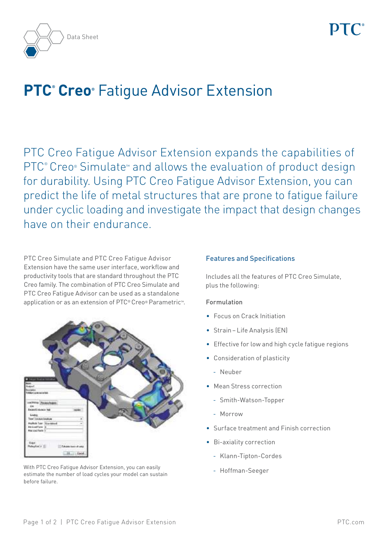

# **PTC<sup>®</sup> Creo®** Fatigue Advisor Extension

PTC Creo Fatigue Advisor Extension expands the capabilities of PTC<sup>®</sup> Creo® Simulate<sup>™</sup> and allows the evaluation of product design for durability. Using PTC Creo Fatigue Advisor Extension, you can predict the life of metal structures that are prone to fatigue failure under cyclic loading and investigate the impact that design changes have on their endurance.

PTC Creo Simulate and PTC Creo Fatigue Advisor Extension have the same user interface, workflow and productivity tools that are standard throughout the PTC Creo family. The combination of PTC Creo Simulate and PTC Creo Fatigue Advisor can be used as a standalone application or as an extension of PTC® Creo® Parametric™.



With PTC Creo Fatigue Advisor Extension, you can easily extension of the Hoffman-Seeger estimate the number of load cycles your model can sustain before failure.

# Features and Specifications

Includes all the features of PTC Creo Simulate, plus the following:

# Formulation

- • Focus on Crack Initiation
- Strain Life Analysis (EN)
- Effective for low and high cycle fatigue regions
- • Consideration of plasticity
	- Neuber
- Mean Stress correction
	- Smith-Watson-Topper
	- Morrow
- • Surface treatment and Finish correction
- • Bi-axiality correction
	- Klann-Tipton-Cordes
	-